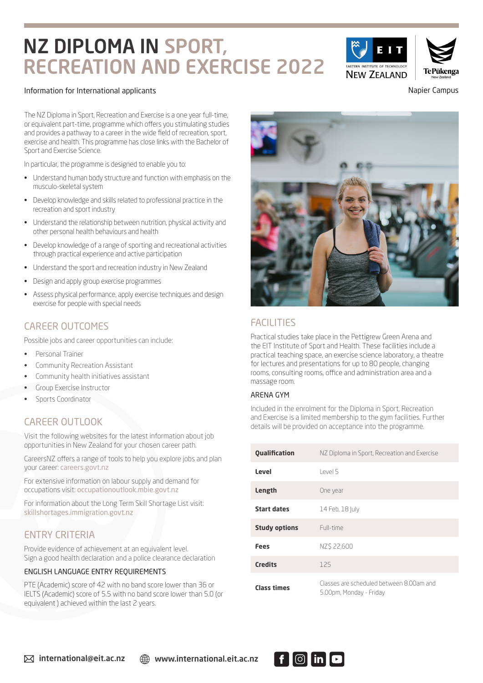# NZ DIPLOMA IN SPORT, RECREATION AND EXERCISE 2022

#### Information for International applicants Napier Campus Campus Campus Campus Campus Campus Campus Campus Campus

The NZ Diploma in Sport, Recreation and Exercise is a one year full-time, or equivalent part-time, programme which offers you stimulating studies and provides a pathway to a career in the wide field of recreation, sport, exercise and health. This programme has close links with the Bachelor of Sport and Exercise Science.

In particular, the programme is designed to enable you to:

- Understand human body structure and function with emphasis on the musculo-skeletal system
- Develop knowledge and skills related to professional practice in the recreation and sport industry
- Understand the relationship between nutrition, physical activity and other personal health behaviours and health
- Develop knowledge of a range of sporting and recreational activities through practical experience and active participation
- Understand the sport and recreation industry in New Zealand
- Design and apply group exercise programmes
- Assess physical performance, apply exercise techniques and design exercise for people with special needs

# CAREER OUTCOMES

Possible jobs and career opportunities can include:

- Personal Trainer
- Community Recreation Assistant
- Community health initiatives assistant
- Group Exercise Instructor
- Sports Coordinator

# CAREER OUTLOOK

Visit the following websites for the latest information about job opportunities in New Zealand for your chosen career path.

CareersNZ offers a range of tools to help you explore jobs and plan your career: careers.govt.nz

For extensive information on labour supply and demand for occupations visit: occupationoutlook.mbie.govt.nz

For information about the Long Term Skill Shortage List visit: skillshortages.immigration.govt.nz

### ENTRY CRITERIA

Provide evidence of achievement at an equivalent level. Sign a good health declaration and a police clearance declaration

#### ENGLISH LANGUAGE ENTRY REQUIREMENTS

PTE (Academic) score of 42 with no band score lower than 36 or IELTS (Academic) score of 5.5 with no band score lower than 5.0 (or equivalent ) achieved within the last 2 years.



practical teaching space, an exercise science laboratory, a theatre for lectures and presentations for up to 80 people, changing rooms, consulting rooms, office and administration area and a massage room.

#### ARENA GYM

Included in the enrolment for the Diploma in Sport, Recreation and Exercise is a limited membership to the gym facilities. Further details will be provided on acceptance into the programme.

| <b>Qualification</b> | NZ Diploma in Sport, Recreation and Exercise                        |  |  |
|----------------------|---------------------------------------------------------------------|--|--|
| Level                | Level 5                                                             |  |  |
| Length               | One year                                                            |  |  |
| <b>Start dates</b>   | 14 Feb, 18 July                                                     |  |  |
| <b>Study options</b> | Full-time                                                           |  |  |
| Fees                 | NZS 22.600                                                          |  |  |
| <b>Credits</b>       | 125                                                                 |  |  |
| <b>Class times</b>   | Classes are scheduled between 8.00am and<br>5.00pm, Monday - Friday |  |  |



 $\boxtimes$  international@eit.ac.nz  $\textcircled{m}$  www.international.eit.ac.nz